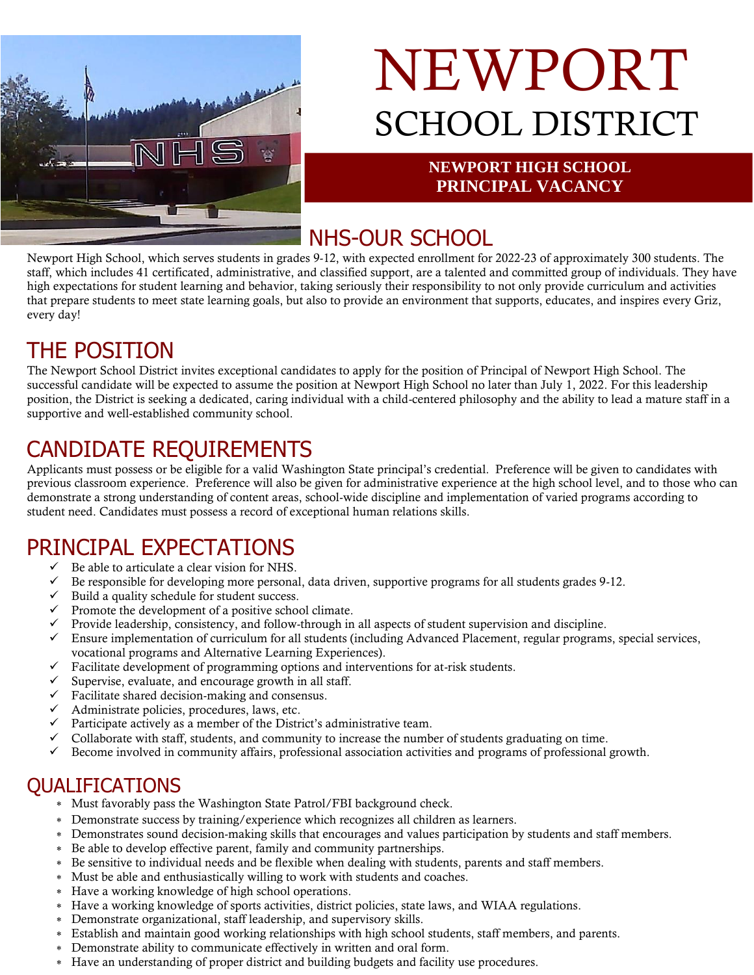

# NEWPORT SCHOOL DISTRICT

#### **NEWPORT HIGH SCHOOL PRINCIPAL VACANCY**

## NHS-OUR SCHOOL

Newport High School, which serves students in grades 9-12, with expected enrollment for 2022-23 of approximately 300 students. The staff, which includes 41 certificated, administrative, and classified support, are a talented and committed group of individuals. They have high expectations for student learning and behavior, taking seriously their responsibility to not only provide curriculum and activities that prepare students to meet state learning goals, but also to provide an environment that supports, educates, and inspires every Griz, every day!

# THE POSITION

The Newport School District invites exceptional candidates to apply for the position of Principal of Newport High School. The successful candidate will be expected to assume the position at Newport High School no later than July 1, 2022. For this leadership position, the District is seeking a dedicated, caring individual with a child-centered philosophy and the ability to lead a mature staff in a supportive and well-established community school.

# CANDIDATE REQUIREMENTS

Applicants must possess or be eligible for a valid Washington State principal's credential. Preference will be given to candidates with previous classroom experience. Preference will also be given for administrative experience at the high school level, and to those who can demonstrate a strong understanding of content areas, school-wide discipline and implementation of varied programs according to student need. Candidates must possess a record of exceptional human relations skills.

# PRINCIPAL EXPECTATIONS

- $\checkmark$  Be able to articulate a clear vision for NHS.
- $\checkmark$  Be responsible for developing more personal, data driven, supportive programs for all students grades 9-12.
- $\checkmark$  Build a quality schedule for student success.
- $\checkmark$  Promote the development of a positive school climate.
- $\checkmark$  Provide leadership, consistency, and follow-through in all aspects of student supervision and discipline.
- $\checkmark$  Ensure implementation of curriculum for all students (including Advanced Placement, regular programs, special services, vocational programs and Alternative Learning Experiences).
- $\checkmark$  Facilitate development of programming options and interventions for at-risk students.
- $\checkmark$  Supervise, evaluate, and encourage growth in all staff.
- $\checkmark$  Facilitate shared decision-making and consensus.
- $\checkmark$  Administrate policies, procedures, laws, etc.
- $\checkmark$  Participate actively as a member of the District's administrative team.
- $\checkmark$  Collaborate with staff, students, and community to increase the number of students graduating on time.
- $\checkmark$  Become involved in community affairs, professional association activities and programs of professional growth.

### QUALIFICATIONS

- Must favorably pass the Washington State Patrol/FBI background check.
- Demonstrate success by training/experience which recognizes all children as learners.
- Demonstrates sound decision-making skills that encourages and values participation by students and staff members.
- Be able to develop effective parent, family and community partnerships.
- Be sensitive to individual needs and be flexible when dealing with students, parents and staff members.
- Must be able and enthusiastically willing to work with students and coaches.
- Have a working knowledge of high school operations.
- Have a working knowledge of sports activities, district policies, state laws, and WIAA regulations.
- Demonstrate organizational, staff leadership, and supervisory skills.
- Establish and maintain good working relationships with high school students, staff members, and parents.
- Demonstrate ability to communicate effectively in written and oral form.
- Have an understanding of proper district and building budgets and facility use procedures.